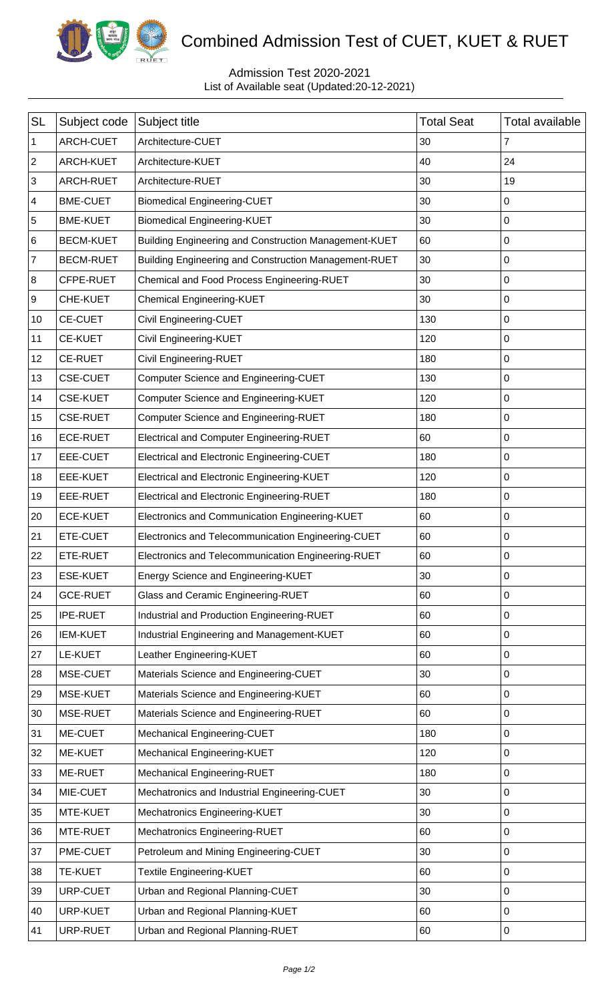

## Combined Admission Test of CUET, KUET & RUET

## Admission Test 2020-2021 List of Available seat (Updated:20-12-2021)

| <b>SL</b>    | Subject code     | Subject title                                         | <b>Total Seat</b> | Total available |
|--------------|------------------|-------------------------------------------------------|-------------------|-----------------|
| 1            | ARCH-CUET        | Architecture-CUET                                     | 30                | 7               |
| $\mathbf{2}$ | ARCH-KUET        | Architecture-KUET                                     | 40                | 24              |
| $\sqrt{3}$   | ARCH-RUET        | Architecture-RUET                                     | 30                | 19              |
| 4            | <b>BME-CUET</b>  | <b>Biomedical Engineering-CUET</b>                    | 30                | 0               |
| 5            | <b>BME-KUET</b>  | <b>Biomedical Engineering-KUET</b>                    | 30                | 0               |
| 6            | <b>BECM-KUET</b> | Building Engineering and Construction Management-KUET | 60                | 0               |
| 7            | <b>BECM-RUET</b> | Building Engineering and Construction Management-RUET | 30                | 0               |
| 8            | CFPE-RUET        | Chemical and Food Process Engineering-RUET            | 30                | 0               |
| 9            | CHE-KUET         | <b>Chemical Engineering-KUET</b>                      | 30                | 0               |
| 10           | <b>CE-CUET</b>   | Civil Engineering-CUET                                | 130               | 0               |
| 11           | <b>CE-KUET</b>   | Civil Engineering-KUET                                | 120               | 0               |
| 12           | <b>CE-RUET</b>   | <b>Civil Engineering-RUET</b>                         | 180               | 0               |
| 13           | <b>CSE-CUET</b>  | <b>Computer Science and Engineering-CUET</b>          | 130               | 0               |
| 14           | <b>CSE-KUET</b>  | Computer Science and Engineering-KUET                 | 120               | 0               |
| 15           | <b>CSE-RUET</b>  | Computer Science and Engineering-RUET                 | 180               | 0               |
| 16           | <b>ECE-RUET</b>  | Electrical and Computer Engineering-RUET              | 60                | 0               |
| 17           | EEE-CUET         | Electrical and Electronic Engineering-CUET            | 180               | 0               |
| 18           | EEE-KUET         | Electrical and Electronic Engineering-KUET            | 120               | 0               |
| 19           | EEE-RUET         | <b>Electrical and Electronic Engineering-RUET</b>     | 180               | 0               |
| 20           | <b>ECE-KUET</b>  | Electronics and Communication Engineering-KUET        | 60                | 0               |
| 21           | ETE-CUET         | Electronics and Telecommunication Engineering-CUET    | 60                | 0               |
| 22           | ETE-RUET         | Electronics and Telecommunication Engineering-RUET    | 60                | 0               |
| 23           | <b>ESE-KUET</b>  | Energy Science and Engineering-KUET                   | 30                | 0               |
| 24           | <b>GCE-RUET</b>  | Glass and Ceramic Engineering-RUET                    | 60                | 0               |
| 25           | <b>IPE-RUET</b>  | Industrial and Production Engineering-RUET            | 60                | 0               |
| 26           | <b>IEM-KUET</b>  | Industrial Engineering and Management-KUET            | 60                | 0               |
| 27           | LE-KUET          | Leather Engineering-KUET                              | 60                | 0               |
| 28           | MSE-CUET         | Materials Science and Engineering-CUET                | 30                | 0               |
| 29           | <b>MSE-KUET</b>  | Materials Science and Engineering-KUET                | 60                | 0               |
| 30           | MSE-RUET         | Materials Science and Engineering-RUET                | 60                | 0               |
| 31           | ME-CUET          | Mechanical Engineering-CUET                           | 180               | 0               |
| 32           | ME-KUET          | Mechanical Engineering-KUET                           | 120               | 0               |
| 33           | ME-RUET          | Mechanical Engineering-RUET                           | 180               | 0               |
| 34           | MIE-CUET         | Mechatronics and Industrial Engineering-CUET          | 30                | 0               |
| 35           | MTE-KUET         | Mechatronics Engineering-KUET                         | 30                | 0               |
| 36           | MTE-RUET         | Mechatronics Engineering-RUET                         | 60                | 0               |
| 37           | PME-CUET         | Petroleum and Mining Engineering-CUET                 | 30                | 0               |
| 38           | <b>TE-KUET</b>   | Textile Engineering-KUET                              | 60                | 0               |
| 39           | <b>URP-CUET</b>  | Urban and Regional Planning-CUET                      | 30                | 0               |
| 40           | <b>URP-KUET</b>  | Urban and Regional Planning-KUET                      | 60                | 0               |
| 41           | URP-RUET         | Urban and Regional Planning-RUET                      | 60                | 0               |